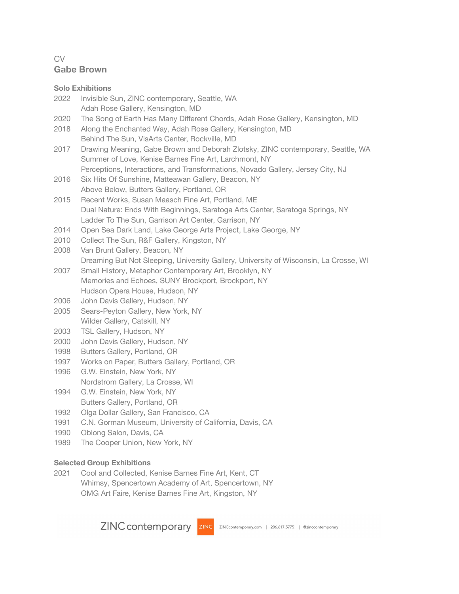## CV **Gabe Brown**

|      | <b>Solo Exhibitions</b>                                                                                      |
|------|--------------------------------------------------------------------------------------------------------------|
| 2022 | Invisible Sun, ZINC contemporary, Seattle, WA                                                                |
|      | Adah Rose Gallery, Kensington, MD                                                                            |
| 2020 | The Song of Earth Has Many Different Chords, Adah Rose Gallery, Kensington, MD                               |
| 2018 | Along the Enchanted Way, Adah Rose Gallery, Kensington, MD                                                   |
|      | Behind The Sun, VisArts Center, Rockville, MD                                                                |
| 2017 | Drawing Meaning, Gabe Brown and Deborah Zlotsky, ZINC contemporary, Seattle, WA                              |
|      | Summer of Love, Kenise Barnes Fine Art, Larchmont, NY                                                        |
|      | Perceptions, Interactions, and Transformations, Novado Gallery, Jersey City, NJ                              |
| 2016 | Six Hits Of Sunshine, Matteawan Gallery, Beacon, NY                                                          |
|      | Above Below, Butters Gallery, Portland, OR                                                                   |
| 2015 | Recent Works, Susan Maasch Fine Art, Portland, ME                                                            |
|      | Dual Nature: Ends With Beginnings, Saratoga Arts Center, Saratoga Springs, NY                                |
|      | Ladder To The Sun, Garrison Art Center, Garrison, NY                                                         |
| 2014 | Open Sea Dark Land, Lake George Arts Project, Lake George, NY                                                |
| 2010 | Collect The Sun, R&F Gallery, Kingston, NY                                                                   |
| 2008 | Van Brunt Gallery, Beacon, NY                                                                                |
|      | Dreaming But Not Sleeping, University Gallery, University of Wisconsin, La Crosse, WI                        |
| 2007 | Small History, Metaphor Contemporary Art, Brooklyn, NY<br>Memories and Echoes, SUNY Brockport, Brockport, NY |
|      | Hudson Opera House, Hudson, NY                                                                               |
| 2006 | John Davis Gallery, Hudson, NY                                                                               |
| 2005 | Sears-Peyton Gallery, New York, NY                                                                           |
|      | Wilder Gallery, Catskill, NY                                                                                 |
| 2003 | TSL Gallery, Hudson, NY                                                                                      |
| 2000 | John Davis Gallery, Hudson, NY                                                                               |
| 1998 | Butters Gallery, Portland, OR                                                                                |
| 1997 | Works on Paper, Butters Gallery, Portland, OR                                                                |
| 1996 | G.W. Einstein, New York, NY                                                                                  |
|      | Nordstrom Gallery, La Crosse, WI                                                                             |
| 1994 | G.W. Einstein, New York, NY                                                                                  |
|      | Butters Gallery, Portland, OR                                                                                |
| 1992 | Olga Dollar Gallery, San Francisco, CA                                                                       |
| 1991 | C.N. Gorman Museum, University of California, Davis, CA                                                      |
| 1990 | Oblong Salon, Davis, CA                                                                                      |
| 1989 | The Cooper Union, New York, NY                                                                               |
|      |                                                                                                              |

# **Selected Group Exhibitions**

2021 Cool and Collected, Kenise Barnes Fine Art, Kent, CT Whimsy, Spencertown Academy of Art, Spencertown, NY OMG Art Faire, Kenise Barnes Fine Art, Kingston, NY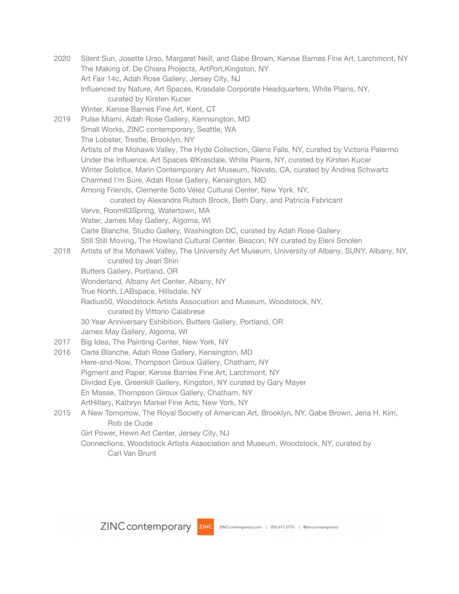2020 Silent Sun, Josette Urso, Margaret Neill, and Gabe Brown, Kenise Barnes Fine Art, Larchmont, NY The Making of, De Chiara Projects, ArtPort,Kingston, NY Art Fair 14c, Adah Rose Gallery, Jersey City, NJ Influenced by Nature, Art Spaces, Krasdale Corporate Headquarters, White Plains, NY, curated by Kirsten Kucer Winter, Kenise Barnes Fine Art, Kent, CT 2019 Pulse Miami, Adah Rose Gallery, Kennsington, MD Small Works, ZINC contemporary, Seattle, WA The Lobster, Trestle, Brooklyn, NY Artists of the Mohawk Valley, The Hyde Collection, Glens Falls, NY, curated by Victoria Palermo Under the Influence, Art Spaces @Krasdale, White Plains, NY, curated by Kirsten Kucer Winter Solstice, Marin Contemporary Art Museum, Novato, CA, curated by Andrea Schwartz Charmed I'm Sure, Adah Rose Gallery, Kensington, MD Among Friends, Clemente Soto Vélez Cultural Center, New York, NY, curated by Alexandra Rutsch Brock, Beth Dary, and Patricia Fabricant Verve, Room83Spring, Watertown, MA Water, James May Gallery, Algoma, WI Carte Blanche, Studio Gallery, Washington DC, curated by Adah Rose Gallery Still Still Moving, The Howland Cultural Center, Beacon, NY curated by Eleni Smolen 2018 Artists of the Mohawk Valley, The University Art Museum, University of Albany, SUNY, Albany, NY, curated by Jean Shin Butters Gallery, Portland, OR Wonderland, Albany Art Center, Albany, NY True North, LABspace, Hillsdale, NY Radius50, Woodstock Artists Association and Museum, Woodstock, NY, curated by Vittorio Calabrese 30 Year Anniversary Exhibition, Butters Gallery, Portland, OR James May Gallery, Algoma, WI 2017 Big Idea, The Painting Center, New York, NY 2016 Carte Blanche, Adah Rose Gallery, Kensington, MD Here-and-Now, Thompson Giroux Gallery, Chatham, NY Pigment and Paper, Kenise Barnes Fine Art, Larchmont, NY Divided Eye, Greenkill Gallery, Kingston, NY curated by Gary Mayer En Masse, Thompson Giroux Gallery, Chatham, NY ArtHillary, Kathryn Markel Fine Arts, New York, NY 2015 A New Tomorrow, The Royal Society of American Art, Brooklyn, NY, Gabe Brown, Jena H. Kim, Rob de Oude Girl Power, Hewn Art Center, Jersey City, NJ Connections, Woodstock Artists Association and Museum, Woodstock, NY, curated by Carl Van Brunt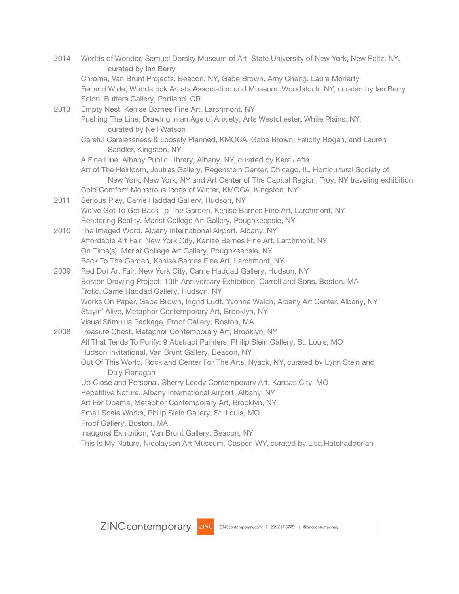| 2014 | Worlds of Wonder, Samuel Dorsky Museum of Art, State University of New York, New Paltz, NY,<br>curated by Ian Berry |
|------|---------------------------------------------------------------------------------------------------------------------|
|      | Chroma, Van Brunt Projects, Beacon, NY, Gabe Brown, Amy Cheng, Laura Moriarty                                       |
|      | Far and Wide, Woodstock Artists Association and Museum, Woodstock, NY, curated by lan Berry                         |
|      | Salon, Butters Gallery, Portland, OR                                                                                |
| 2013 | Empty Nest, Kenise Barnes Fine Art, Larchmont, NY                                                                   |
|      | Pushing The Line: Drawing in an Age of Anxiety, Arts Westchester, White Plains, NY,                                 |
|      | curated by Neil Watson                                                                                              |
|      | Careful Carelessness & Loosely Planned, KMOCA, Gabe Brown, Felicity Hogan, and Lauren                               |
|      | Sandler, Kingston, NY                                                                                               |
|      | A Fine Line, Albany Public Library, Albany, NY, curated by Kara Jefts                                               |
|      | Art of The Heirloom, Joutras Gallery, Regenstein Center, Chicago, IL, Horticultural Society of                      |
|      | New York, New York, NY and Art Center of The Capital Region, Troy, NY traveling exhibition                          |
|      | Cold Comfort: Monstrous Icons of Winter, KMOCA, Kingston, NY                                                        |
| 2011 | Serious Play, Carrie Haddad Gallery, Hudson, NY                                                                     |
|      | We've Got To Get Back To The Garden, Kenise Barnes Fine Art, Larchmont, NY                                          |
|      | Rendering Reality, Marist College Art Gallery, Poughkeepsie, NY                                                     |
| 2010 | The Imaged Word, Albany International Airport, Albany, NY                                                           |
|      | Affordable Art Fair, New York City, Kenise Barnes Fine Art, Larchmont, NY                                           |
|      | On Time(s), Marist College Art Gallery, Poughkeepsie, NY                                                            |
|      | Back To The Garden, Kenise Barnes Fine Art, Larchmont, NY                                                           |
| 2009 | Red Dot Art Fair, New York City, Carrie Haddad Gallery, Hudson, NY                                                  |
|      | Boston Drawing Project: 10th Anniversary Exhibition, Carroll and Sons, Boston, MA                                   |
|      | Frolic, Carrie Haddad Gallery, Hudson, NY                                                                           |
|      | Works On Paper, Gabe Brown, Ingrid Ludt, Yvonne Welch, Albany Art Center, Albany, NY                                |
|      | Stayin' Alive, Metaphor Contemporary Art, Brooklyn, NY<br>Visual Stimulus Package, Proof Gallery, Boston, MA        |
| 2008 | Treasure Chest, Metaphor Contemporary Art, Brooklyn, NY                                                             |
|      | All That Tends To Purify: 9 Abstract Painters, Philip Slein Gallery, St. Louis, MO                                  |
|      | Hudson Invitational, Van Brunt Gallery, Beacon, NY                                                                  |
|      | Out Of This World, Rockland Center For The Arts, Nyack, NY, curated by Lynn Stein and                               |
|      | Daly Flanagan                                                                                                       |
|      | Up Close and Personal, Sherry Leedy Contemporary Art, Kansas City, MO                                               |
|      | Repetitive Nature, Albany International Airport, Albany, NY                                                         |
|      | Art For Obama, Metaphor Contemporary Art, Brooklyn, NY                                                              |
|      | Small Scale Works, Philip Slein Gallery, St. Louis, MO                                                              |
|      | Proof Gallery, Boston, MA                                                                                           |
|      | Inaugural Exhibition, Van Brunt Gallery, Beacon, NY                                                                 |
|      | This Is My Nature, Nicolaysen Art Museum, Casper, WY, curated by Lisa Hatchadoorian                                 |
|      |                                                                                                                     |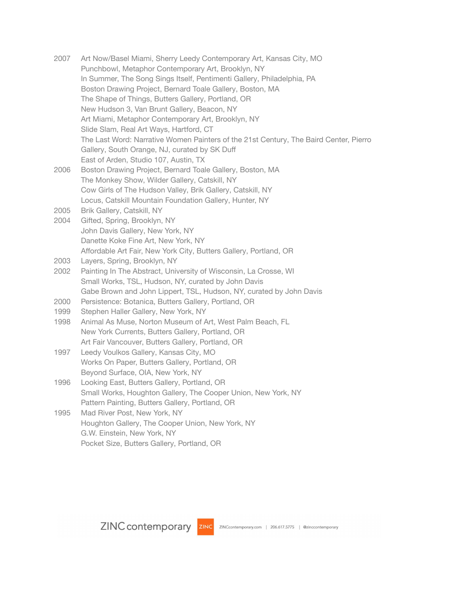| 2007 | Art Now/Basel Miami, Sherry Leedy Contemporary Art, Kansas City, MO<br>Punchbowl, Metaphor Contemporary Art, Brooklyn, NY<br>In Summer, The Song Sings Itself, Pentimenti Gallery, Philadelphia, PA<br>Boston Drawing Project, Bernard Toale Gallery, Boston, MA<br>The Shape of Things, Butters Gallery, Portland, OR<br>New Hudson 3, Van Brunt Gallery, Beacon, NY<br>Art Miami, Metaphor Contemporary Art, Brooklyn, NY<br>Slide Slam, Real Art Ways, Hartford, CT<br>The Last Word: Narrative Women Painters of the 21st Century, The Baird Center, Pierro |
|------|-----------------------------------------------------------------------------------------------------------------------------------------------------------------------------------------------------------------------------------------------------------------------------------------------------------------------------------------------------------------------------------------------------------------------------------------------------------------------------------------------------------------------------------------------------------------|
|      | Gallery, South Orange, NJ, curated by SK Duff                                                                                                                                                                                                                                                                                                                                                                                                                                                                                                                   |
|      | East of Arden, Studio 107, Austin, TX                                                                                                                                                                                                                                                                                                                                                                                                                                                                                                                           |
| 2006 | Boston Drawing Project, Bernard Toale Gallery, Boston, MA                                                                                                                                                                                                                                                                                                                                                                                                                                                                                                       |
|      | The Monkey Show, Wilder Gallery, Catskill, NY                                                                                                                                                                                                                                                                                                                                                                                                                                                                                                                   |
|      | Cow Girls of The Hudson Valley, Brik Gallery, Catskill, NY<br>Locus, Catskill Mountain Foundation Gallery, Hunter, NY                                                                                                                                                                                                                                                                                                                                                                                                                                           |
| 2005 | Brik Gallery, Catskill, NY                                                                                                                                                                                                                                                                                                                                                                                                                                                                                                                                      |
| 2004 | Gifted, Spring, Brooklyn, NY                                                                                                                                                                                                                                                                                                                                                                                                                                                                                                                                    |
|      | John Davis Gallery, New York, NY                                                                                                                                                                                                                                                                                                                                                                                                                                                                                                                                |
|      | Danette Koke Fine Art, New York, NY                                                                                                                                                                                                                                                                                                                                                                                                                                                                                                                             |
|      | Affordable Art Fair, New York City, Butters Gallery, Portland, OR                                                                                                                                                                                                                                                                                                                                                                                                                                                                                               |
| 2003 | Layers, Spring, Brooklyn, NY                                                                                                                                                                                                                                                                                                                                                                                                                                                                                                                                    |
| 2002 | Painting In The Abstract, University of Wisconsin, La Crosse, WI                                                                                                                                                                                                                                                                                                                                                                                                                                                                                                |
|      | Small Works, TSL, Hudson, NY, curated by John Davis                                                                                                                                                                                                                                                                                                                                                                                                                                                                                                             |
|      | Gabe Brown and John Lippert, TSL, Hudson, NY, curated by John Davis                                                                                                                                                                                                                                                                                                                                                                                                                                                                                             |
| 2000 | Persistence: Botanica, Butters Gallery, Portland, OR                                                                                                                                                                                                                                                                                                                                                                                                                                                                                                            |
| 1999 | Stephen Haller Gallery, New York, NY                                                                                                                                                                                                                                                                                                                                                                                                                                                                                                                            |
| 1998 | Animal As Muse, Norton Museum of Art, West Palm Beach, FL                                                                                                                                                                                                                                                                                                                                                                                                                                                                                                       |
|      | New York Currents, Butters Gallery, Portland, OR                                                                                                                                                                                                                                                                                                                                                                                                                                                                                                                |
| 1997 | Art Fair Vancouver, Butters Gallery, Portland, OR<br>Leedy Voulkos Gallery, Kansas City, MO                                                                                                                                                                                                                                                                                                                                                                                                                                                                     |
|      | Works On Paper, Butters Gallery, Portland, OR                                                                                                                                                                                                                                                                                                                                                                                                                                                                                                                   |
|      | Beyond Surface, OIA, New York, NY                                                                                                                                                                                                                                                                                                                                                                                                                                                                                                                               |
| 1996 | Looking East, Butters Gallery, Portland, OR                                                                                                                                                                                                                                                                                                                                                                                                                                                                                                                     |
|      | Small Works, Houghton Gallery, The Cooper Union, New York, NY                                                                                                                                                                                                                                                                                                                                                                                                                                                                                                   |
|      | Pattern Painting, Butters Gallery, Portland, OR                                                                                                                                                                                                                                                                                                                                                                                                                                                                                                                 |
| 1995 | Mad River Post, New York, NY                                                                                                                                                                                                                                                                                                                                                                                                                                                                                                                                    |
|      | Houghton Gallery, The Cooper Union, New York, NY                                                                                                                                                                                                                                                                                                                                                                                                                                                                                                                |
|      | G.W. Einstein, New York, NY                                                                                                                                                                                                                                                                                                                                                                                                                                                                                                                                     |

Pocket Size, Butters Gallery, Portland, OR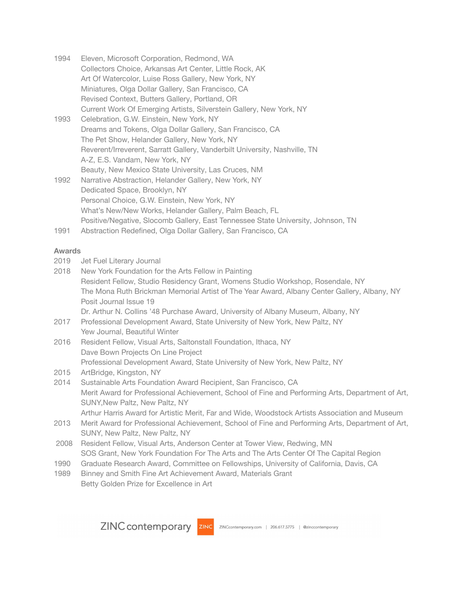| 1994 | Eleven, Microsoft Corporation, Redmond, WA                                       |
|------|----------------------------------------------------------------------------------|
|      | Collectors Choice, Arkansas Art Center, Little Rock, AK                          |
|      | Art Of Watercolor, Luise Ross Gallery, New York, NY                              |
|      | Miniatures, Olga Dollar Gallery, San Francisco, CA                               |
|      | Revised Context, Butters Gallery, Portland, OR                                   |
|      | Current Work Of Emerging Artists, Silverstein Gallery, New York, NY              |
| 1993 | Celebration, G.W. Einstein, New York, NY                                         |
|      | Dreams and Tokens, Olga Dollar Gallery, San Francisco, CA                        |
|      | The Pet Show, Helander Gallery, New York, NY                                     |
|      | Reverent/Irreverent, Sarratt Gallery, Vanderbilt University, Nashville, TN       |
|      | A-Z, E.S. Vandam, New York, NY                                                   |
|      | Beauty, New Mexico State University, Las Cruces, NM                              |
| 1992 | Narrative Abstraction, Helander Gallery, New York, NY                            |
|      | Dedicated Space, Brooklyn, NY                                                    |
|      | Personal Choice, G.W. Einstein, New York, NY                                     |
|      | What's New/New Works, Helander Gallery, Palm Beach, FL                           |
|      | Positive/Negative, Slocomb Gallery, East Tennessee State University, Johnson, TN |
| 1991 | Abstraction Redefined, Olga Dollar Gallery, San Francisco, CA                    |

### **Awards**

| 2019  | Jet Fuel Literary Journal                                                                                                          |
|-------|------------------------------------------------------------------------------------------------------------------------------------|
| 2018  | New York Foundation for the Arts Fellow in Painting                                                                                |
|       | Resident Fellow, Studio Residency Grant, Womens Studio Workshop, Rosendale, NY                                                     |
|       | The Mona Ruth Brickman Memorial Artist of The Year Award, Albany Center Gallery, Albany, NY<br>Posit Journal Issue 19              |
|       |                                                                                                                                    |
|       | Dr. Arthur N. Collins '48 Purchase Award, University of Albany Museum, Albany, NY                                                  |
| 2017  | Professional Development Award, State University of New York, New Paltz, NY                                                        |
|       | Yew Journal, Beautiful Winter                                                                                                      |
| 2016  | Resident Fellow, Visual Arts, Saltonstall Foundation, Ithaca, NY                                                                   |
|       | Dave Bown Projects On Line Project                                                                                                 |
|       | Professional Development Award, State University of New York, New Paltz, NY                                                        |
| 2015  | ArtBridge, Kingston, NY                                                                                                            |
| 2014  | Sustainable Arts Foundation Award Recipient, San Francisco, CA                                                                     |
|       | Merit Award for Professional Achievement, School of Fine and Performing Arts, Department of Art,<br>SUNY, New Paltz, New Paltz, NY |
|       | Arthur Harris Award for Artistic Merit, Far and Wide, Woodstock Artists Association and Museum                                     |
| 2013  | Merit Award for Professional Achievement, School of Fine and Performing Arts, Department of Art,                                   |
|       | SUNY, New Paltz, New Paltz, NY                                                                                                     |
| 2008  | Resident Fellow, Visual Arts, Anderson Center at Tower View, Redwing, MN                                                           |
|       | SOS Grant, New York Foundation For The Arts and The Arts Center Of The Capital Region                                              |
| 1990  | Graduate Research Award, Committee on Fellowships, University of California, Davis, CA                                             |
| 1020. | Pinnoy and Smith Eine Art Achievement Award, Materials Grant                                                                       |

1989 Binney and Smith Fine Art Achievement Award, Materials Grant Betty Golden Prize for Excellence in Art

ZINC contemporary ZINC ZINCcontemporary.com | 206.617.5775 | @zinccontemporary